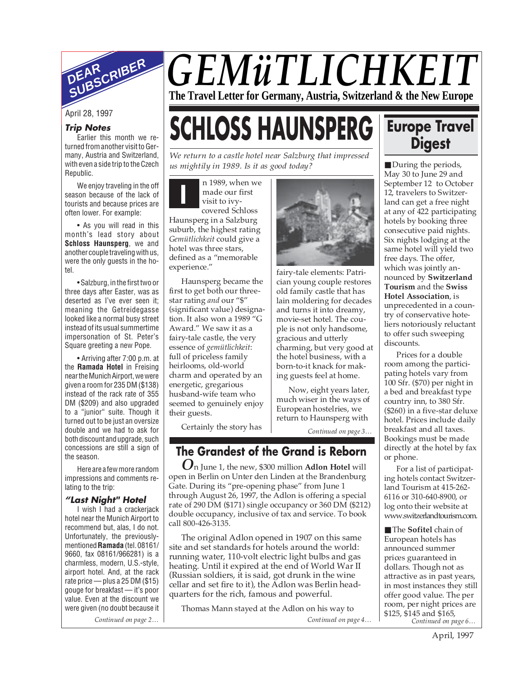

## **Trip Notes**

Earlier this month we returned from another visit to Germany, Austria and Switzerland, with even a side trip to the Czech Republic.

We enjoy traveling in the off season because of the lack of tourists and because prices are often lower. For example:

• As you will read in this month's lead story about **Schloss Haunsperg**, we and another couple traveling with us, were the only guests in the hotel.

• Salzburg, in the first two or three days after Easter, was as deserted as I've ever seen it; meaning the Getreidegasse looked like a normal busy street instead of its usual summertime impersonation of St. Peter's Square greeting a new Pope.

• Arriving after 7:00 p.m. at the **Ramada Hotel** in Freising near the Munich Airport, we were given a room for 235 DM (\$138) instead of the rack rate of 355 DM (\$209) and also upgraded to a "junior" suite. Though it turned out to be just an oversize double and we had to ask for both discount and upgrade, such concessions are still a sign of the season.

Here are a few more random impressions and comments relating to the trip:

### **"Last Night" Hotel**

I wish I had a crackerjack hotel near the Munich Airport to recommend but, alas, I do not. Unfortunately, the previouslymentioned **Ramada** (tel. 08161/ 9660, fax 08161/966281) is a charmless, modern, U.S.-style, airport hotel. And, at the rack rate price — plus a 25 DM (\$15) gouge for breakfast — it's poor value. Even at the discount we were given (no doubt because it

*Continued on page 2…*

# *GEMüTLICHKEIT* **The Travel Letter for Germany, Austria, Switzerland & the New Europe**

fairy-tale elements: Patrician young couple restores old family castle that has lain moldering for decades and turns it into dreamy, movie-set hotel. The couple is not only handsome, gracious and utterly charming, but very good at the hotel business, with a born-to-it knack for making guests feel at home.

# April 28, 1997<br>Trip Notes<br>Earlier this month we re-**SCHLOSS HAUNSPERG**

*We return to a castle hotel near Salzburg that impressed us mightily in 1989. Is it as good today?*

**I** n 1989, when we made our first visit to ivycovered Schloss Haunsperg in a Salzburg suburb, the highest rating *Gemütlichkeit* could give a hotel was three stars, defined as a "memorable experience."

Haunsperg became the first to get both our threestar rating *and* our "\$" (significant value) designation. It also won a 1989 "G Award." We saw it as a fairy-tale castle, the very essence of *gemütlichkeit*: full of priceless family heirlooms, old-world charm and operated by an energetic, gregarious husband-wife team who seemed to genuinely enjoy their guests.

Certainly the story has

# **The Grandest of the Grand is Reborn**

*Continued on page 3…*

Now, eight years later, much wiser in the ways of European hostelries, we return to Haunsperg with

*O*n June 1, the new, \$300 million **Adlon Hotel** will open in Berlin on Unter den Linden at the Brandenburg Gate. During its "pre-opening phase" from June 1 through August 26, 1997, the Adlon is offering a special rate of 290 DM (\$171) single occupancy or 360 DM (\$212) double occupancy, inclusive of tax and service. To book call 800-426-3135.

The original Adlon opened in 1907 on this same site and set standards for hotels around the world: running water, 110-volt electric light bulbs and gas heating. Until it expired at the end of World War II (Russian soldiers, it is said, got drunk in the wine cellar and set fire to it), the Adlon was Berlin headquarters for the rich, famous and powerful.

Thomas Mann stayed at the Adlon on his way to

# **Europe Travel Digest**

■ During the periods, May 30 to June 29 and September 12 to October 12, travelers to Switzerland can get a free night at any of 422 participating hotels by booking three consecutive paid nights. Six nights lodging at the same hotel will yield two free days. The offer, which was jointly announced by **Switzerland Tourism** and the **Swiss Hotel Association**, is unprecedented in a country of conservative hoteliers notoriously reluctant to offer such sweeping discounts.

Prices for a double room among the participating hotels vary from 100 Sfr. (\$70) per night in a bed and breakfast type country inn, to 380 Sfr. (\$260) in a five-star deluxe hotel. Prices include daily breakfast and all taxes. Bookings must be made directly at the hotel by fax or phone.

For a list of participating hotels contact Switzerland Tourism at 415-262- 6116 or 310-640-8900, or log onto their website at www.switzerlandtourism.com.

*Continued on page 6…* ■ The **Sofitel** chain of European hotels has announced summer prices guaranteed in dollars. Though not as attractive as in past years, in most instances they still offer good value. The per room, per night prices are \$125, \$145 and \$165, *Continued on page 4…*

April, 1997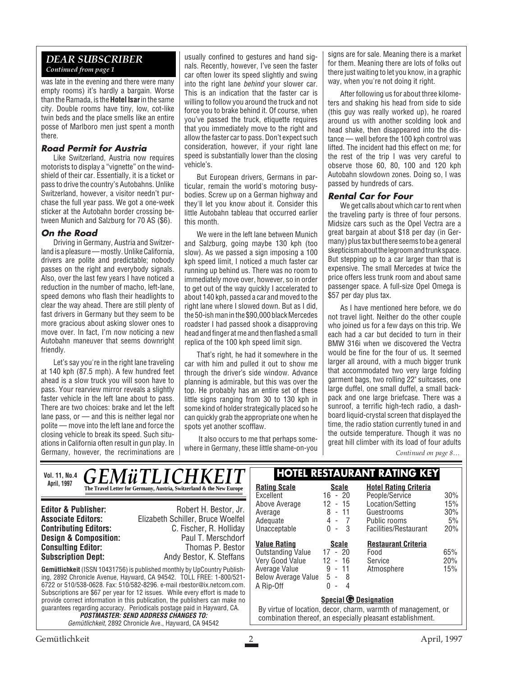# *DEAR SUBSCRIBER Continued from page 1*

was late in the evening and there were many empty rooms) it's hardly a bargain. Worse than the Ramada, is the **Hotel Isar**in the same city. Double rooms have tiny, low, cot-like twin beds and the place smells like an entire posse of Marlboro men just spent a month there.

## **Road Permit for Austria**

Like Switzerland, Austria now requires motorists to display a "vignette" on the windshield of their car. Essentially, it is a ticket or pass to drive the country's Autobahns. Unlike Switzerland, however, a visitor needn't purchase the full year pass. We got a one-week sticker at the Autobahn border crossing between Munich and Salzburg for 70 AS (\$6).

# **On the Road**

Driving in Germany, Austria and Switzerland is a pleasure — mostly. Unlike California, drivers are polite and predictable; nobody passes on the right and everybody signals. Also, over the last few years I have noticed a reduction in the number of macho, left-lane, speed demons who flash their headlights to clear the way ahead. There are still plenty of fast drivers in Germany but they seem to be more gracious about asking slower ones to move over. In fact, I'm now noticing a new Autobahn maneuver that seems downright friendly.

Let's say you're in the right lane traveling at 140 kph (87.5 mph). A few hundred feet ahead is a slow truck you will soon have to pass. Your rearview mirror reveals a slightly faster vehicle in the left lane about to pass. There are two choices: brake and let the left lane pass, or — and this is neither legal nor polite — move into the left lane and force the closing vehicle to break its speed. Such situations in California often result in gun play. In Germany, however, the recriminations are

usually confined to gestures and hand signals. Recently, however, I've seen the faster car often lower its speed slightly and swing into the right lane *behind* your slower car. This is an indication that the faster car is willing to follow you around the truck and not force you to brake behind it. Of course, when you've passed the truck, etiquette requires that you immediately move to the right and allow the faster car to pass. Don't expect such consideration, however, if your right lane speed is substantially lower than the closing vehicle's.

But European drivers, Germans in particular, remain the world's motoring busybodies. Screw up on a German highway and they'll let you know about it. Consider this little Autobahn tableau that occurred earlier this month.

We were in the left lane between Munich and Salzburg, going maybe 130 kph (too slow). As we passed a sign imposing a 100 kph speed limit, I noticed a much faster car running up behind us. There was no room to immediately move over, however, so in order to get out of the way quickly I accelerated to about 140 kph, passed a car and moved to the right lane where I slowed down. But as I did, the 50-ish man in the \$90,000 black Mercedes roadster I had passed shook a disapproving head and finger at me and then flashed a small replica of the 100 kph speed limit sign.

That's right, he had it somewhere in the car with him and pulled it out to show me through the driver's side window. Advance planning is admirable, but this was over the top. He probably has an entire set of these little signs ranging from 30 to 130 kph in some kind of holder strategically placed so he can quickly grab the appropriate one when he spots yet another scofflaw.

It also occurs to me that perhaps somewhere in Germany, these little shame-on-you signs are for sale. Meaning there is a market for them. Meaning there are lots of folks out there just waiting to let you know, in a graphic way, when you're not doing it right.

After following us for about three kilometers and shaking his head from side to side (this guy was really worked up), he roared around us with another scolding look and head shake, then disappeared into the distance — well before the 100 kph control was lifted. The incident had this effect on me; for the rest of the trip I was very careful to observe those 60, 80, 100 and 120 kph Autobahn slowdown zones. Doing so, I was passed by hundreds of cars.

#### **Rental Car for Four**

We get calls about which car to rent when the traveling party is three of four persons. Midsize cars such as the Opel Vectra are a great bargain at about \$18 per day (in Germany) plus tax but there seems to be a general skepticism about the legroom and trunk space. But stepping up to a car larger than that is expensive. The small Mercedes at twice the price offers less trunk room and about same passenger space. A full-size Opel Omega is \$57 per day plus tax.

As I have mentioned here before, we do not travel light. Neither do the other couple who joined us for a few days on this trip. We each had a car but decided to turn in their BMW 316i when we discovered the Vectra would be fine for the four of us. It seemed larger all around, with a much bigger trunk that accommodated two very large folding garment bags, two rolling 22" suitcases, one large duffel, one small duffel, a small backpack and one large briefcase. There was a sunroof, a terrific high-tech radio, a dashboard liquid-crystal screen that displayed the time, the radio station currently tuned in and the outside temperature. Though it was no great hill climber with its load of four adults

*Continued on page 8…*

| <b>GEMüTLICHKEIT</b><br><b>Vol. 11, No.4</b>                                                                                                                                                                                                                                                                                                   |                                                                      | <b>HOTEL RESTAURANT RATING KEY</b>                                                                                          |                                                                    |                                                |              |
|------------------------------------------------------------------------------------------------------------------------------------------------------------------------------------------------------------------------------------------------------------------------------------------------------------------------------------------------|----------------------------------------------------------------------|-----------------------------------------------------------------------------------------------------------------------------|--------------------------------------------------------------------|------------------------------------------------|--------------|
| April, 1997                                                                                                                                                                                                                                                                                                                                    | The Travel Letter for Germany, Austria, Switzerland & the New Europe | <b>Rating Scale</b><br>Excellent                                                                                            | <b>Scale</b><br>$16 - 20$                                          | <b>Hotel Rating Criteria</b><br>People/Service | $30\%$       |
| <b>Editor &amp; Publisher:</b><br><b>Associate Editors:</b>                                                                                                                                                                                                                                                                                    | Robert H. Bestor, Jr.<br>Elizabeth Schiller, Bruce Woelfel           | Above Average<br>Average                                                                                                    | 12<br>- 15<br>8<br>$-11$                                           | Location/Setting<br>Guestrooms                 | 15%<br>30%   |
| <b>Contributing Editors:</b><br><b>Design &amp; Composition:</b>                                                                                                                                                                                                                                                                               | C. Fischer, R. Holliday<br>Paul T. Merschdorf                        | Adequate<br>Unacceptable                                                                                                    | 4 -<br>$\overline{7}$<br>$\Omega$<br>3<br>$\overline{\phantom{a}}$ | Public rooms<br>Facilities/Restaurant          | $5\%$<br>20% |
| <b>Consulting Editor:</b><br><b>Subscription Dept:</b>                                                                                                                                                                                                                                                                                         | Thomas P. Bestor<br>Andy Bestor, K. Steffans                         | <b>Value Rating</b><br><b>Outstanding Value</b><br>Very Good Value                                                          | <b>Scale</b><br>$17 - 20$<br>$12 - 16$                             | <b>Restaurant Criteria</b><br>Food<br>Service  | 65%<br>20%   |
| <b>Gemütlichkeit</b> (ISSN 10431756) is published monthly by UpCountry Publish-<br>ing, 2892 Chronicle Avenue, Hayward, CA 94542. TOLL FREE: 1-800/521-<br>6722 or 510/538-0628. Fax: 510/582-8296. e-mail rbestor@ix.netcom.com.                                                                                                              |                                                                      | Average Value<br><b>Below Average Value</b><br>A Rip-Off                                                                    | 9<br>- 11<br>5<br>- 8<br>0<br>4<br>$\overline{\phantom{a}}$        | Atmosphere                                     | 15%          |
| Subscriptions are \$67 per year for 12 issues. While every effort is made to<br>provide correct information in this publication, the publishers can make no<br>quarantees regarding accuracy. Periodicals postage paid in Hayward, CA.<br><b>POSTMASTER: SEND ADDRESS CHANGES TO:</b><br>Gemütlichkeit, 2892 Chronicle Ave., Hayward, CA 94542 |                                                                      | <b>Special © Designation</b>                                                                                                |                                                                    |                                                |              |
|                                                                                                                                                                                                                                                                                                                                                |                                                                      | By virtue of location, decor, charm, warmth of management, or<br>combination thereof, an especially pleasant establishment. |                                                                    |                                                |              |
| Gemütlichkeit<br>April, 1997                                                                                                                                                                                                                                                                                                                   |                                                                      |                                                                                                                             |                                                                    |                                                |              |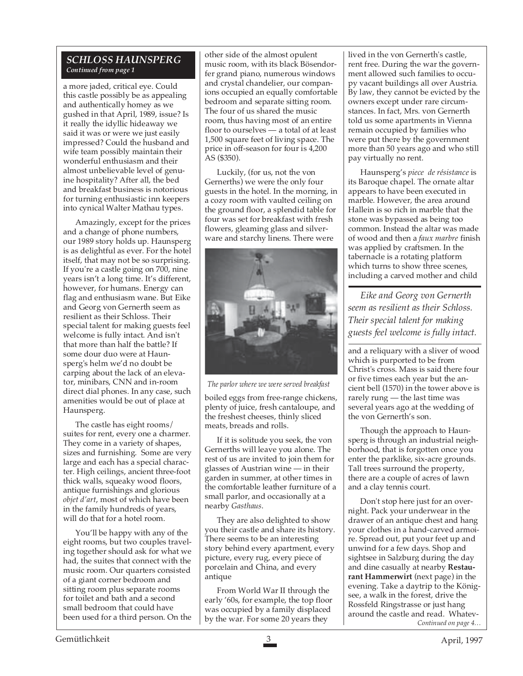# *SCHLOSS HAUNSPERG Continued from page 1*

a more jaded, critical eye. Could this castle possibly be as appealing and authentically homey as we gushed in that April, 1989, issue? Is it really the idyllic hideaway we said it was or were we just easily impressed? Could the husband and wife team possibly maintain their wonderful enthusiasm and their almost unbelievable level of genuine hospitality? After all, the bed and breakfast business is notorious for turning enthusiastic inn keepers into cynical Walter Mathau types.

Amazingly, except for the prices and a change of phone numbers, our 1989 story holds up. Haunsperg is as delightful as ever. For the hotel itself, that may not be so surprising. If you're a castle going on 700, nine years isn't a long time. It's different, however, for humans. Energy can flag and enthusiasm wane. But Eike and Georg von Gernerth seem as resilient as their Schloss. Their special talent for making guests feel welcome is fully intact. And isn't that more than half the battle? If some dour duo were at Haunsperg's helm we'd no doubt be carping about the lack of an elevator, minibars, CNN and in-room direct dial phones. In any case, such amenities would be out of place at Haunsperg.

The castle has eight rooms/ suites for rent, every one a charmer. They come in a variety of shapes, sizes and furnishing. Some are very large and each has a special character. High ceilings, ancient three-foot thick walls, squeaky wood floors, antique furnishings and glorious *objet d'art*, most of which have been in the family hundreds of years, will do that for a hotel room.

You'll be happy with any of the eight rooms, but two couples traveling together should ask for what we had, the suites that connect with the music room. Our quarters consisted of a giant corner bedroom and sitting room plus separate rooms for toilet and bath and a second small bedroom that could have been used for a third person. On the

other side of the almost opulent music room, with its black Bösendorfer grand piano, numerous windows and crystal chandelier, our companions occupied an equally comfortable bedroom and separate sitting room. The four of us shared the music room, thus having most of an entire floor to ourselves — a total of at least 1,500 square feet of living space. The price in off-season for four is 4,200 AS (\$350).

Luckily, (for us, not the von Gernerths) we were the only four guests in the hotel. In the morning, in a cozy room with vaulted ceiling on the ground floor, a splendid table for four was set for breakfast with fresh flowers, gleaming glass and silverware and starchy linens. There were



*The parlor where we were served breakfast*

boiled eggs from free-range chickens, plenty of juice, fresh cantaloupe, and the freshest cheeses, thinly sliced meats, breads and rolls.

If it is solitude you seek, the von Gernerths will leave you alone. The rest of us are invited to join them for glasses of Austrian wine — in their garden in summer, at other times in the comfortable leather furniture of a small parlor, and occasionally at a nearby *Gasthaus*.

They are also delighted to show you their castle and share its history. There seems to be an interesting story behind every apartment, every picture, every rug, every piece of porcelain and China, and every antique

From World War II through the early '60s, for example, the top floor was occupied by a family displaced by the war. For some 20 years they

lived in the von Gernerth's castle, rent free. During the war the government allowed such families to occupy vacant buildings all over Austria. By law, they cannot be evicted by the owners except under rare circumstances. In fact, Mrs. von Gernerth told us some apartments in Vienna remain occupied by families who were put there by the government more than 50 years ago and who still pay virtually no rent.

Haunsperg's *piece de résistance* is its Baroque chapel. The ornate altar appears to have been executed in marble. However, the area around Hallein is so rich in marble that the stone was bypassed as being too common. Instead the altar was made of wood and then a *faux marbre* finish was applied by craftsmen. In the tabernacle is a rotating platform which turns to show three scenes, including a carved mother and child

*Eike and Georg von Gernerth seem as resilient as their Schloss. Their special talent for making guests feel welcome is fully intact.*

and a reliquary with a sliver of wood which is purported to be from Christ's cross. Mass is said there four or five times each year but the ancient bell (1570) in the tower above is rarely rung — the last time was several years ago at the wedding of the von Gernerth's son.

Though the approach to Haunsperg is through an industrial neighborhood, that is forgotten once you enter the parklike, six-acre grounds. Tall trees surround the property, there are a couple of acres of lawn and a clay tennis court.

*Continued on page 4…* Don't stop here just for an overnight. Pack your underwear in the drawer of an antique chest and hang your clothes in a hand-carved armoire. Spread out, put your feet up and unwind for a few days. Shop and sightsee in Salzburg during the day and dine casually at nearby **Restaurant Hammerwirt** (next page) in the evening. Take a daytrip to the Königsee, a walk in the forest, drive the Rossfeld Ringstrasse or just hang around the castle and read. Whatev-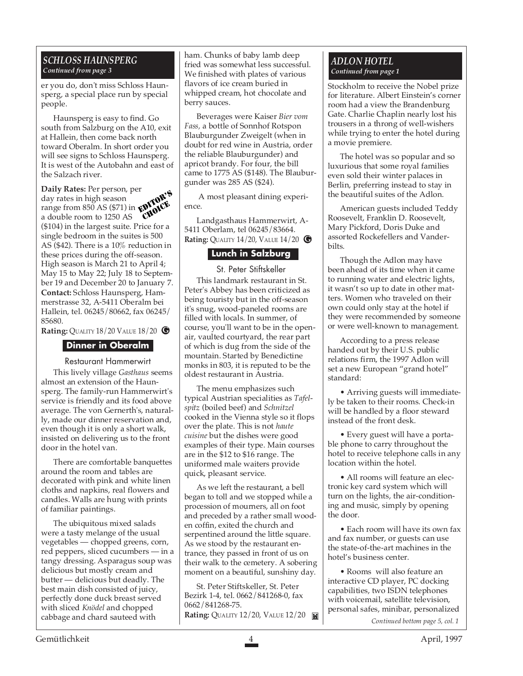# *SCHLOSS HAUNSPERG Continued from page 3*

er you do, don't miss Schloss Haunsperg, a special place run by special people.

Haunsperg is easy to find. Go south from Salzburg on the A10, exit at Hallein, then come back north toward Oberalm. In short order you will see signs to Schloss Haunsperg. It is west of the Autobahn and east of the Salzach river.

**Daily Rates:** Per person, per day rates in high season range from 850 AS (\$71) in a double room to 1250 AS (\$104) in the largest suite. Price for a single bedroom in the suites is 500 AS (\$42). There is a 10% reduction in these prices during the off-season. High season is March 21 to April 4; May 15 to May 22; July 18 to September 19 and December 20 to January 7. **Contact:** Schloss Haunsperg, Hammerstrasse 32, A-5411 Oberalm bei Hallein, tel. 06245/80662, fax 06245/ 85680. EDITOR'S CHOICE.<br>CHOICE

**Rating:** QUALITY 18/20 VALUE 18/20 **G** 

### **Dinner in Oberalm**

Restaurant Hammerwirt

This lively village *Gasthaus* seems almost an extension of the Haunsperg. The family-run Hammerwirt's service is friendly and its food above average. The von Gernerth's, naturally, made our dinner reservation and, even though it is only a short walk, insisted on delivering us to the front door in the hotel van.

There are comfortable banquettes around the room and tables are decorated with pink and white linen cloths and napkins, real flowers and candles. Walls are hung with prints of familiar paintings.

The ubiquitous mixed salads were a tasty melange of the usual vegetables — chopped greens, corn, red peppers, sliced cucumbers — in a tangy dressing. Asparagus soup was delicious but mostly cream and butter — delicious but deadly. The best main dish consisted of juicy, perfectly done duck breast served with sliced *Knödel* and chopped cabbage and chard sauteed with

ham. Chunks of baby lamb deep fried was somewhat less successful. We finished with plates of various flavors of ice cream buried in whipped cream, hot chocolate and berry sauces.

Beverages were Kaiser *Bier vom Fass,* a bottle of Sonnhof Rotspon Blauburgunder Zweigelt (when in doubt for red wine in Austria, order the reliable Blauburgunder) and apricot brandy. For four, the bill came to 1775 AS (\$148). The Blauburgunder was 285 AS (\$24).

 A most pleasant dining experience.

**G Rating:** QUALITY 14/20, VALUE 14/20 Landgasthaus Hammerwirt, A-5411 Oberlam, tel 06245/83664.

# **Lunch in Salzburg**

St. Peter Stiftskeller

This landmark restaurant in St. Peter's Abbey has been criticized as being touristy but in the off-season it's snug, wood-paneled rooms are filled with locals. In summer, of course, you'll want to be in the openair, vaulted courtyard, the rear part of which is dug from the side of the mountain. Started by Benedictine monks in 803, it is reputed to be the oldest restaurant in Austria.

The menu emphasizes such typical Austrian specialities as *Tafelspitz* (boiled beef) and *Schnitzel* cooked in the Vienna style so it flops over the plate. This is not *haute cuisine* but the dishes were good examples of their type. Main courses are in the \$12 to \$16 range. The uniformed male waiters provide quick, pleasant service.

As we left the restaurant, a bell began to toll and we stopped while a procession of mourners, all on foot and preceded by a rather small wooden coffin, exited the church and serpentined around the little square. As we stood by the restaurant entrance, they passed in front of us on their walk to the cemetery. A sobering moment on a beautiful, sunshiny day.

St. Peter Stiftskeller, St. Peter Bezirk 1-4, tel. 0662/841268-0, fax 0662/841268-75. **Rating: QUALITY 12/20, VALUE 12/20 <b>M** 

### *ADLON HOTEL Continued from page 1*

Stockholm to receive the Nobel prize for literature. Albert Einstein's corner room had a view the Brandenburg Gate. Charlie Chaplin nearly lost his trousers in a throng of well-wishers while trying to enter the hotel during a movie premiere.

The hotel was so popular and so luxurious that some royal families even sold their winter palaces in Berlin, preferring instead to stay in the beautiful suites of the Adlon.

American guests included Teddy Roosevelt, Franklin D. Roosevelt, Mary Pickford, Doris Duke and assorted Rockefellers and Vanderbilts.

Though the Adlon may have been ahead of its time when it came to running water and electric lights, it wasn't so up to date in other matters. Women who traveled on their own could only stay at the hotel if they were recommended by someone or were well-known to management.

According to a press release handed out by their U.S. public relations firm, the 1997 Adlon will set a new European "grand hotel" standard:

• Arriving guests will immediately be taken to their rooms. Check-in will be handled by a floor steward instead of the front desk.

• Every guest will have a portable phone to carry throughout the hotel to receive telephone calls in any location within the hotel.

• All rooms will feature an electronic key card system which will turn on the lights, the air-conditioning and music, simply by opening the door.

• Each room will have its own fax and fax number, or guests can use the state-of-the-art machines in the hotel's business center.

• Rooms will also feature an interactive CD player, PC docking capabilities, two ISDN telephones with voicemail, satellite television, personal safes, minibar, personalized

*Continued bottom page 5, col. 1*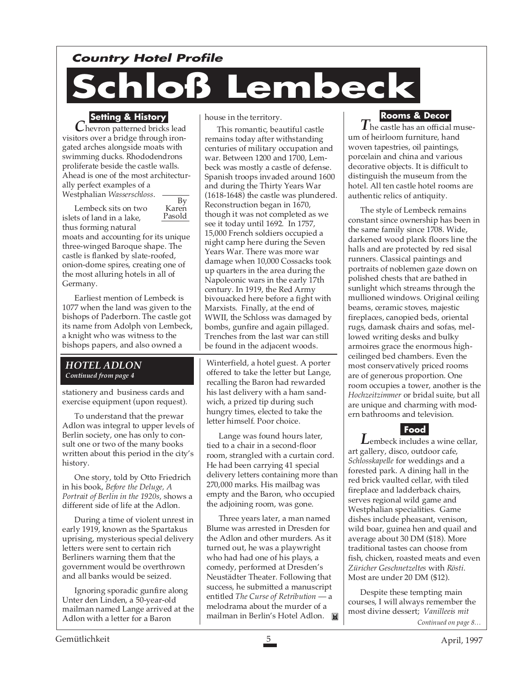# **Country Hotel Profile**

# **Schloß Lembeck**

# **Setting & History**

*C*hevron patterned bricks lead visitors over a bridge through irongated arches alongside moats with swimming ducks. Rhododendrons proliferate beside the castle walls. Ahead is one of the most architecturally perfect examples of a Westphalian *Wasserschloss*.

By Karen Pasold Lembeck sits on two islets of land in a lake, thus forming natural moats and accounting for its unique three-winged Baroque shape. The castle is flanked by slate-roofed, onion-dome spires, creating one of the most alluring hotels in all of Germany.

Earliest mention of Lembeck is 1077 when the land was given to the bishops of Paderborn. The castle got its name from Adolph von Lembeck, a knight who was witness to the bishops papers, and also owned a

### *HOTEL ADLON Continued from page 4*

stationery and business cards and exercise equipment (upon request).

To understand that the prewar Adlon was integral to upper levels of Berlin society, one has only to consult one or two of the many books written about this period in the city's history.

One story, told by Otto Friedrich in his book, *Before the Deluge, A Portrait of Berlin in the 1920s*, shows a different side of life at the Adlon.

During a time of violent unrest in early 1919, known as the Spartakus uprising, mysterious special delivery letters were sent to certain rich Berliners warning them that the government would be overthrown and all banks would be seized.

Ignoring sporadic gunfire along Unter den Linden, a 50-year-old mailman named Lange arrived at the Adlon with a letter for a Baron

house in the territory.

This romantic, beautiful castle remains today after withstanding centuries of military occupation and war. Between 1200 and 1700, Lembeck was mostly a castle of defense. Spanish troops invaded around 1600 and during the Thirty Years War (1618-1648) the castle was plundered. Reconstruction began in 1670, though it was not completed as we see it today until 1692. In 1757, 15,000 French soldiers occupied a night camp here during the Seven Years War. There was more war damage when 10,000 Cossacks took up quarters in the area during the Napoleonic wars in the early 17th century. In 1919, the Red Army bivouacked here before a fight with Marxists. Finally, at the end of WWII, the Schloss was damaged by bombs, gunfire and again pillaged. Trenches from the last war can still be found in the adjacent woods.

Winterfield, a hotel guest. A porter offered to take the letter but Lange, recalling the Baron had rewarded his last delivery with a ham sandwich, a prized tip during such hungry times, elected to take the letter himself. Poor choice.

Lange was found hours later, tied to a chair in a second-floor room, strangled with a curtain cord. He had been carrying 41 special delivery letters containing more than 270,000 marks. His mailbag was empty and the Baron, who occupied the adjoining room, was gone.

Three years later, a man named Blume was arrested in Dresden for the Adlon and other murders. As it turned out, he was a playwright who had had one of his plays, a comedy, performed at Dresden's Neustädter Theater. Following that success, he submitted a manuscript entitled *The Curse of Retribution* — a melodrama about the murder of a mailman in Berlin's Hotel Adlon. **■** 

# **Rooms & Decor**

*T*he castle has an official museum of heirloom furniture, hand woven tapestries, oil paintings, porcelain and china and various decorative objects. It is difficult to distinguish the museum from the hotel. All ten castle hotel rooms are authentic relics of antiquity.

The style of Lembeck remains constant since ownership has been in the same family since 1708. Wide, darkened wood plank floors line the halls and are protected by red sisal runners. Classical paintings and portraits of noblemen gaze down on polished chests that are bathed in sunlight which streams through the mullioned windows. Original ceiling beams, ceramic stoves, majestic fireplaces, canopied beds, oriental rugs, damask chairs and sofas, mellowed writing desks and bulky armoires grace the enormous highceilinged bed chambers. Even the most conservatively priced rooms are of generous proportion. One room occupies a tower, another is the *Hochzeitzimmer* or bridal suite, but all are unique and charming with modern bathrooms and television.



*L*embeck includes a wine cellar, art gallery, disco, outdoor cafe, *Schlosskapelle* for weddings and a forested park. A dining hall in the red brick vaulted cellar, with tiled fireplace and ladderback chairs, serves regional wild game and Westphalian specialities. Game dishes include pheasant, venison, wild boar, guinea hen and quail and average about 30 DM (\$18). More traditional tastes can choose from fish, chicken, roasted meats and even *Züricher Geschnetzeltes* with *Rösti*. Most are under 20 DM (\$12).

Despite these tempting main courses, I will always remember the most divine dessert; *Vanilleeis mit*

*Continued on page 8…*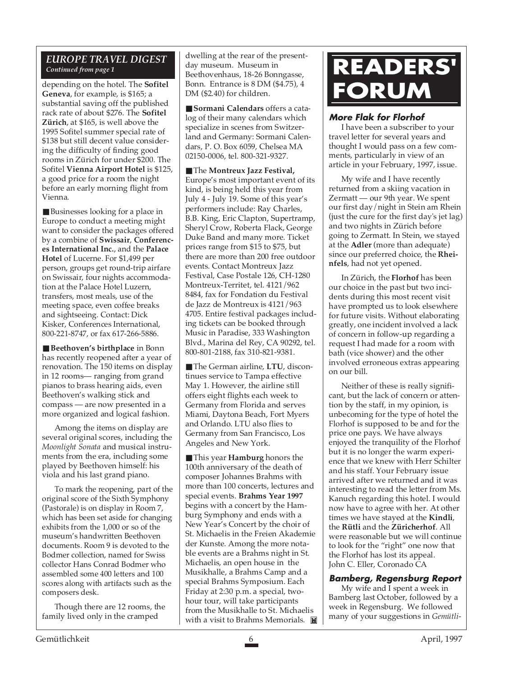# *EUROPE TRAVEL DIGEST*

depending on the hotel. The **Sofitel Geneva**, for example, is \$165; a substantial saving off the published rack rate of about \$276. The **Sofitel Zürich**, at \$165, is well above the 1995 Sofitel summer special rate of \$138 but still decent value considering the difficulty of finding good rooms in Zürich for under \$200. The Sofitel **Vienna Airport Hotel** is \$125, a good price for a room the night before an early morning flight from Vienna.

■ Businesses looking for a place in Europe to conduct a meeting might want to consider the packages offered by a combine of **Swissair**, **Conferences International Inc.**, and the **Palace Hotel** of Lucerne. For \$1,499 per person, groups get round-trip airfare on Swissair, four nights accommodation at the Palace Hotel Luzern, transfers, most meals, use of the meeting space, even coffee breaks and sightseeing. Contact: Dick Kisker, Conferences International, 800-221-8747, or fax 617-266-5886.

■ **Beethoven's birthplace** in Bonn has recently reopened after a year of renovation. The 150 items on display in 12 rooms— ranging from grand pianos to brass hearing aids, even Beethoven's walking stick and compass — are now presented in a more organized and logical fashion.

Among the items on display are several original scores, including the *Moonlight Sonata* and musical instruments from the era, including some played by Beethoven himself: his viola and his last grand piano.

To mark the reopening, part of the original score of the Sixth Symphony (Pastorale) is on display in Room 7, which has been set aside for changing exhibits from the 1,000 or so of the museum's handwritten Beethoven documents. Room 9 is devoted to the Bodmer collection, named for Swiss collector Hans Conrad Bodmer who assembled some 400 letters and 100 scores along with artifacts such as the composers desk.

Though there are 12 rooms, the family lived only in the cramped

dwelling at the rear of the presentday museum. Museum in Beethovenhaus, 18-26 Bonngasse, Bonn. Entrance is 8 DM (\$4.75), 4 DM (\$2.40) for children.

■ **Sormani Calendars** offers a catalog of their many calendars which specialize in scenes from Switzerland and Germany: Sormani Calendars, P. O. Box 6059, Chelsea MA 02150-0006, tel. 800-321-9327.

■ The **Montreux Jazz Festival**, Europe's most important event of its kind, is being held this year from July 4 - July 19. Some of this year's performers include: Ray Charles, B.B. King, Eric Clapton, Supertramp, Sheryl Crow, Roberta Flack, George Duke Band and many more. Ticket prices range from \$15 to \$75, but there are more than 200 free outdoor events. Contact Montreux Jazz Festival, Case Postale 126, CH-1280 Montreux-Territet, tel. 4121/962 8484, fax for Fondation du Festival de Jazz de Montreux is 4121/963 4705. Entire festival packages including tickets can be booked through Music in Paradise, 333 Washington Blvd., Marina del Rey, CA 90292, tel. 800-801-2188, fax 310-821-9381.

■ The German airline, LTU, discontinues service to Tampa effective May 1. However, the airline still offers eight flights each week to Germany from Florida and serves Miami, Daytona Beach, Fort Myers and Orlando. LTU also flies to Germany from San Francisco, Los Angeles and New York.

■ This year **Hamburg** honors the 100th anniversary of the death of composer Johannes Brahms with more than 100 concerts, lectures and special events. **Brahms Year 1997** begins with a concert by the Hamburg Symphony and ends with a New Year's Concert by the choir of St. Michaelis in the Freien Akademie der Kunste. Among the more notable events are a Brahms night in St. Michaelis, an open house in the Musikhalle, a Brahms Camp and a special Brahms Symposium. Each Friday at 2:30 p.m. a special, twohour tour, will take participants from the Musikhalle to St. Michaelis with a visit to Brahms Memorials.

# *Continued from page 1* **READERS' FORUM**

# **More Flak for Florhof**

I have been a subscriber to your travel letter for several years and thought I would pass on a few comments, particularly in view of an article in your February, 1997, issue.

My wife and I have recently returned from a skiing vacation in Zermatt — our 9th year. We spent our first day/night in Stein am Rhein (just the cure for the first day's jet lag) and two nights in Zürich before going to Zermatt. In Stein, we stayed at the **Adler** (more than adequate) since our preferred choice, the **Rheinfels**, had not yet opened.

In Zürich, the **Florhof** has been our choice in the past but two incidents during this most recent visit have prompted us to look elsewhere for future visits. Without elaborating greatly, one incident involved a lack of concern in follow-up regarding a request I had made for a room with bath (vice shower) and the other involved erroneous extras appearing on our bill.

Neither of these is really significant, but the lack of concern or attention by the staff, in my opinion, is unbecoming for the type of hotel the Florhof is supposed to be and for the price one pays. We have always enjoyed the tranquility of the Florhof but it is no longer the warm experience that we knew with Herr Schilter and his staff. Your February issue arrived after we returned and it was interesting to read the letter from Ms. Kanuch regarding this hotel. I would now have to agree with her. At other times we have stayed at the **Kindli**, the **Rütli** and the **Züricherhof**. All were reasonable but we will continue to look for the "right" one now that the Florhof has lost its appeal. John C. Eller, Coronado CA

# **Bamberg, Regensburg Report**

My wife and I spent a week in Bamberg last October, followed by a week in Regensburg. We followed many of your suggestions in *Gemütli-*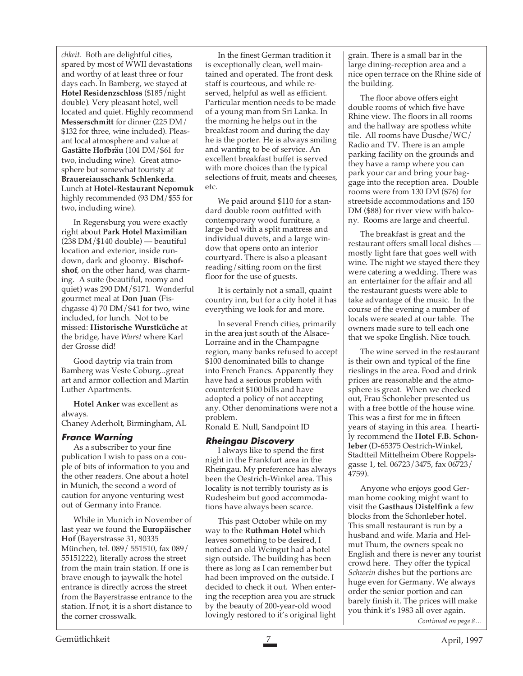*chkeit*. Both are delightful cities, spared by most of WWII devastations and worthy of at least three or four days each. In Bamberg, we stayed at **Hotel Residenzschloss** (\$185/night double). Very pleasant hotel, well located and quiet. Highly recommend **Messerschmitt** for dinner (225 DM/ \$132 for three, wine included). Pleasant local atmosphere and value at **Gastätte Hofbräu** (104 DM/\$61 for two, including wine). Great atmosphere but somewhat touristy at **Brauereiausschank Schlenkerla**. Lunch at **Hotel-Restaurant Nepomuk** highly recommended (93 DM/\$55 for two, including wine).

In Regensburg you were exactly right about **Park Hotel Maximilian** (238 DM/\$140 double) — beautiful location and exterior, inside rundown, dark and gloomy. **Bischofshof**, on the other hand, was charming. A suite (beautiful, roomy and quiet) was 290 DM/\$171. Wonderful gourmet meal at **Don Juan** (Fischgasse 4) 70 DM/\$41 for two, wine included, for lunch. Not to be missed: **Historische Wurstküche** at the bridge, have *Wurst* where Karl der Grosse did!

Good daytrip via train from Bamberg was Veste Coburg...great art and armor collection and Martin Luther Apartments.

**Hotel Anker** was excellent as always. Chaney Aderholt, Birmingham, AL

# **France Warning**

As a subscriber to your fine publication I wish to pass on a couple of bits of information to you and the other readers. One about a hotel in Munich, the second a word of caution for anyone venturing west out of Germany into France.

While in Munich in November of last year we found the **Europäischer Hof** (Bayerstrasse 31, 80335 München, tel. 089/ 551510, fax 089/ 55151222), literally across the street from the main train station. If one is brave enough to jaywalk the hotel entrance is directly across the street from the Bayerstrasse entrance to the station. If not, it is a short distance to the corner crosswalk.

In the finest German tradition it is exceptionally clean, well maintained and operated. The front desk staff is courteous, and while reserved, helpful as well as efficient. Particular mention needs to be made of a young man from Sri Lanka. In the morning he helps out in the breakfast room and during the day he is the porter. He is always smiling and wanting to be of service. An excellent breakfast buffet is served with more choices than the typical selections of fruit, meats and cheeses, etc.

We paid around \$110 for a standard double room outfitted with contemporary wood furniture, a large bed with a split mattress and individual duvets, and a large window that opens onto an interior courtyard. There is also a pleasant reading/sitting room on the first floor for the use of guests.

It is certainly not a small, quaint country inn, but for a city hotel it has everything we look for and more.

In several French cities, primarily in the area just south of the Alsace-Lorraine and in the Champagne region, many banks refused to accept \$100 denominated bills to change into French Francs. Apparently they have had a serious problem with counterfeit \$100 bills and have adopted a policy of not accepting any. Other denominations were not a problem.

Ronald E. Null, Sandpoint ID

# **Rheingau Discovery**

I always like to spend the first night in the Frankfurt area in the Rheingau. My preference has always been the Oestrich-Winkel area. This locality is not terribly touristy as is Rudesheim but good accommodations have always been scarce.

This past October while on my way to the **Ruthman Hotel** which leaves something to be desired, I noticed an old Weingut had a hotel sign outside. The building has been there as long as I can remember but had been improved on the outside. I decided to check it out. When entering the reception area you are struck by the beauty of 200-year-old wood lovingly restored to it's original light grain. There is a small bar in the large dining-reception area and a nice open terrace on the Rhine side of the building.

The floor above offers eight double rooms of which five have Rhine view. The floors in all rooms and the hallway are spotless white tile. All rooms have Dusche/WC/ Radio and TV. There is an ample parking facility on the grounds and they have a ramp where you can park your car and bring your baggage into the reception area. Double rooms were from 130 DM (\$76) for streetside accommodations and 150 DM (\$88) for river view with balcony. Rooms are large and cheerful.

The breakfast is great and the restaurant offers small local dishes mostly light fare that goes well with wine. The night we stayed there they were catering a wedding. There was an entertainer for the affair and all the restaurant guests were able to take advantage of the music. In the course of the evening a number of locals were seated at our table. The owners made sure to tell each one that we spoke English. Nice touch.

The wine served in the restaurant is their own and typical of the fine rieslings in the area. Food and drink prices are reasonable and the atmosphere is great. When we checked out, Frau Schonleber presented us with a free bottle of the house wine. This was a first for me in fifteen years of staying in this area. I heartily recommend the **Hotel F.B. Schonleber** (D-65375 Oestrich-Winkel, Stadtteil Mittelheim Obere Roppelsgasse 1, tel. 06723/3475, fax 06723/ 4759).

Anyone who enjoys good German home cooking might want to visit the **Gasthaus Distelfink** a few blocks from the Schonleber hotel. This small restaurant is run by a husband and wife. Maria and Helmut Thum, the owners speak no English and there is never any tourist crowd here. They offer the typical *Schwein* dishes but the portions are huge even for Germany. We always order the senior portion and can barely finish it. The prices will make you think it's 1983 all over again.

*Continued on page 8…*